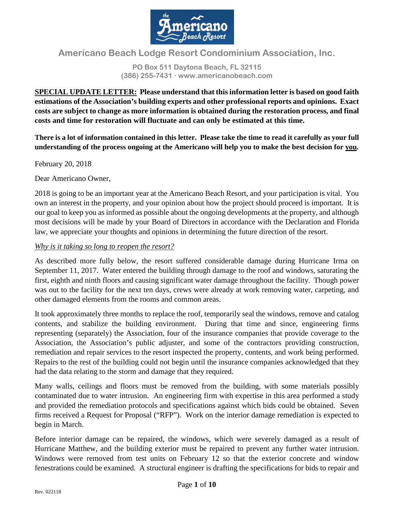

# **Americano Beach Lodge Resort Condominium Association, Inc.**

**PO Box 511 Daytona Beach, FL 32115 (386) 255-7431 www.americanobeach.com**

**SPECIAL UPDATE LETTER: Please understand that this information letter is based on good faith estimations of the Association's building experts and other professional reports and opinions. Exact costs are subject to change as more information is obtained during the restoration process, and final costs and time for restoration will fluctuate and can only be estimated at this time.**

**There is a lot of information contained in this letter. Please take the time to read it carefully as your full understanding of the process ongoing at the Americano will help you to make the best decision for you.**

February 20, 2018

Dear Americano Owner,

2018 is going to be an important year at the Americano Beach Resort, and your participation is vital. You own an interest in the property, and your opinion about how the project should proceed is important. It is our goal to keep you as informed as possible about the ongoing developments at the property, and although most decisions will be made by your Board of Directors in accordance with the Declaration and Florida law, we appreciate your thoughts and opinions in determining the future direction of the resort.

### *Why is it taking so long to reopen the resort?*

As described more fully below, the resort suffered considerable damage during Hurricane Irma on September 11, 2017. Water entered the building through damage to the roof and windows, saturating the first, eighth and ninth floors and causing significant water damage throughout the facility. Though power was out to the facility for the next ten days, crews were already at work removing water, carpeting, and other damaged elements from the rooms and common areas.

It took approximately three months to replace the roof, temporarily seal the windows, remove and catalog contents, and stabilize the building environment. During that time and since, engineering firms representing (separately) the Association, four of the insurance companies that provide coverage to the Association, the Association's public adjuster, and some of the contractors providing construction, remediation and repair services to the resort inspected the property, contents, and work being performed. Repairs to the rest of the building could not begin until the insurance companies acknowledged that they had the data relating to the storm and damage that they required.

Many walls, ceilings and floors must be removed from the building, with some materials possibly contaminated due to water intrusion. An engineering firm with expertise in this area performed a study and provided the remediation protocols and specifications against which bids could be obtained. Seven firms received a Request for Proposal ("RFP"). Work on the interior damage remediation is expected to begin in March.

Before interior damage can be repaired, the windows, which were severely damaged as a result of Hurricane Matthew, and the building exterior must be repaired to prevent any further water intrusion. Windows were removed from test units on February 12 so that the exterior concrete and window fenestrations could be examined. A structural engineer is drafting the specifications for bids to repair and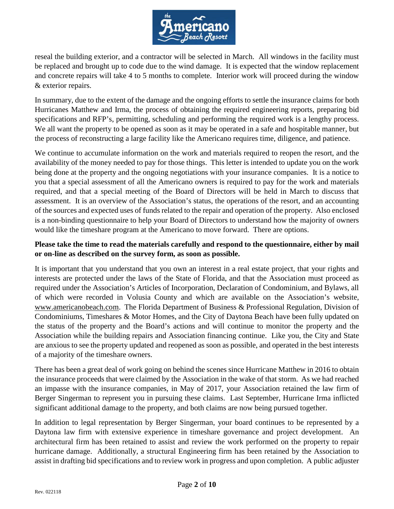

reseal the building exterior, and a contractor will be selected in March. All windows in the facility must be replaced and brought up to code due to the wind damage. It is expected that the window replacement and concrete repairs will take 4 to 5 months to complete. Interior work will proceed during the window & exterior repairs.

In summary, due to the extent of the damage and the ongoing efforts to settle the insurance claims for both Hurricanes Matthew and Irma, the process of obtaining the required engineering reports, preparing bid specifications and RFP's, permitting, scheduling and performing the required work is a lengthy process. We all want the property to be opened as soon as it may be operated in a safe and hospitable manner, but the process of reconstructing a large facility like the Americano requires time, diligence, and patience.

We continue to accumulate information on the work and materials required to reopen the resort, and the availability of the money needed to pay for those things. This letter is intended to update you on the work being done at the property and the ongoing negotiations with your insurance companies. It is a notice to you that a special assessment of all the Americano owners is required to pay for the work and materials required, and that a special meeting of the Board of Directors will be held in March to discuss that assessment. It is an overview of the Association's status, the operations of the resort, and an accounting of the sources and expected uses of funds related to the repair and operation of the property. Also enclosed is a non-binding questionnaire to help your Board of Directors to understand how the majority of owners would like the timeshare program at the Americano to move forward. There are options.

# **Please take the time to read the materials carefully and respond to the questionnaire, either by mail or on-line as described on the survey form, as soon as possible.**

It is important that you understand that you own an interest in a real estate project, that your rights and interests are protected under the laws of the State of Florida, and that the Association must proceed as required under the Association's Articles of Incorporation, Declaration of Condominium, and Bylaws, all of which were recorded in Volusia County and which are available on the Association's website, www.americanobeach.com. The Florida Department of Business & Professional Regulation, Division of Condominiums, Timeshares & Motor Homes, and the City of Daytona Beach have been fully updated on the status of the property and the Board's actions and will continue to monitor the property and the Association while the building repairs and Association financing continue. Like you, the City and State are anxious to see the property updated and reopened as soon as possible, and operated in the best interests of a majority of the timeshare owners.

There has been a great deal of work going on behind the scenes since Hurricane Matthew in 2016 to obtain the insurance proceeds that were claimed by the Association in the wake of that storm. As we had reached an impasse with the insurance companies, in May of 2017, your Association retained the law firm of Berger Singerman to represent you in pursuing these claims. Last September, Hurricane Irma inflicted significant additional damage to the property, and both claims are now being pursued together.

In addition to legal representation by Berger Singerman, your board continues to be represented by a Daytona law firm with extensive experience in timeshare governance and project development. An architectural firm has been retained to assist and review the work performed on the property to repair hurricane damage. Additionally, a structural Engineering firm has been retained by the Association to assist in drafting bid specifications and to review work in progress and upon completion. A public adjuster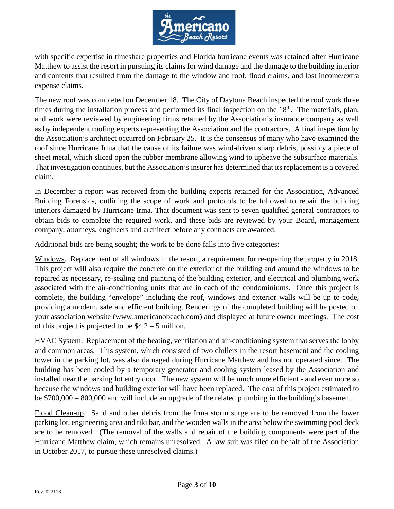

with specific expertise in timeshare properties and Florida hurricane events was retained after Hurricane Matthew to assist the resort in pursuing its claims for wind damage and the damage to the building interior and contents that resulted from the damage to the window and roof, flood claims, and lost income/extra expense claims.

The new roof was completed on December 18. The City of Daytona Beach inspected the roof work three times during the installation process and performed its final inspection on the  $18<sup>th</sup>$ . The materials, plan, and work were reviewed by engineering firms retained by the Association's insurance company as well as by independent roofing experts representing the Association and the contractors. A final inspection by the Association's architect occurred on February 25. It is the consensus of many who have examined the roof since Hurricane Irma that the cause of its failure was wind-driven sharp debris, possibly a piece of sheet metal, which sliced open the rubber membrane allowing wind to upheave the subsurface materials. That investigation continues, but the Association's insurer has determined that its replacement is a covered claim.

In December a report was received from the building experts retained for the Association, Advanced Building Forensics, outlining the scope of work and protocols to be followed to repair the building interiors damaged by Hurricane Irma. That document was sent to seven qualified general contractors to obtain bids to complete the required work, and these bids are reviewed by your Board, management company, attorneys, engineers and architect before any contracts are awarded.

Additional bids are being sought; the work to be done falls into five categories:

Windows. Replacement of all windows in the resort, a requirement for re-opening the property in 2018. This project will also require the concrete on the exterior of the building and around the windows to be repaired as necessary, re-sealing and painting of the building exterior, and electrical and plumbing work associated with the air-conditioning units that are in each of the condominiums. Once this project is complete, the building "envelope" including the roof, windows and exterior walls will be up to code, providing a modern, safe and efficient building. Renderings of the completed building will be posted on your association website (www.americanobeach.com) and displayed at future owner meetings. The cost of this project is projected to be \$4.2 – 5 million.

HVAC System. Replacement of the heating, ventilation and air-conditioning system that serves the lobby and common areas. This system, which consisted of two chillers in the resort basement and the cooling tower in the parking lot, was also damaged during Hurricane Matthew and has not operated since. The building has been cooled by a temporary generator and cooling system leased by the Association and installed near the parking lot entry door. The new system will be much more efficient - and even more so because the windows and building exterior will have been replaced. The cost of this project estimated to be \$700,000 – 800,000 and will include an upgrade of the related plumbing in the building's basement.

Flood Clean-up. Sand and other debris from the Irma storm surge are to be removed from the lower parking lot, engineering area and tiki bar, and the wooden walls in the area below the swimming pool deck are to be removed. (The removal of the walls and repair of the building components were part of the Hurricane Matthew claim, which remains unresolved. A law suit was filed on behalf of the Association in October 2017, to pursue these unresolved claims.)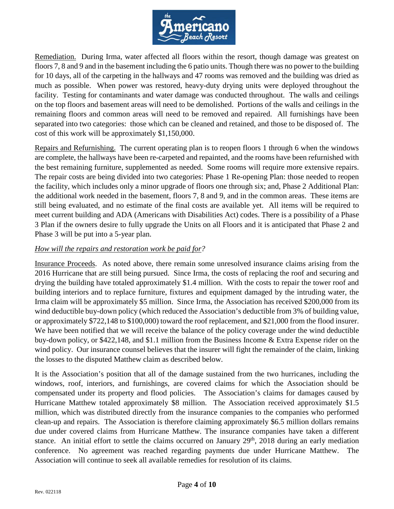

Remediation. During Irma, water affected all floors within the resort, though damage was greatest on floors 7, 8 and 9 and in the basement including the 6 patio units. Though there was no power to the building for 10 days, all of the carpeting in the hallways and 47 rooms was removed and the building was dried as much as possible. When power was restored, heavy-duty drying units were deployed throughout the facility. Testing for contaminants and water damage was conducted throughout. The walls and ceilings on the top floors and basement areas will need to be demolished. Portions of the walls and ceilings in the remaining floors and common areas will need to be removed and repaired. All furnishings have been separated into two categories: those which can be cleaned and retained, and those to be disposed of. The cost of this work will be approximately \$1,150,000.

Repairs and Refurnishing. The current operating plan is to reopen floors 1 through 6 when the windows are complete, the hallways have been re-carpeted and repainted, and the rooms have been refurnished with the best remaining furniture, supplemented as needed. Some rooms will require more extensive repairs. The repair costs are being divided into two categories: Phase 1 Re-opening Plan: those needed to reopen the facility, which includes only a minor upgrade of floors one through six; and, Phase 2 Additional Plan: the additional work needed in the basement, floors 7, 8 and 9, and in the common areas. These items are still being evaluated, and no estimate of the final costs are available yet. All items will be required to meet current building and ADA (Americans with Disabilities Act) codes. There is a possibility of a Phase 3 Plan if the owners desire to fully upgrade the Units on all Floors and it is anticipated that Phase 2 and Phase 3 will be put into a 5-year plan.

## *How will the repairs and restoration work be paid for?*

Insurance Proceeds. As noted above, there remain some unresolved insurance claims arising from the 2016 Hurricane that are still being pursued. Since Irma, the costs of replacing the roof and securing and drying the building have totaled approximately \$1.4 million. With the costs to repair the tower roof and building interiors and to replace furniture, fixtures and equipment damaged by the intruding water, the Irma claim will be approximately \$5 million. Since Irma, the Association has received \$200,000 from its wind deductible buy-down policy (which reduced the Association's deductible from 3% of building value, or approximately \$722,148 to \$100,000) toward the roof replacement, and \$21,000 from the flood insurer. We have been notified that we will receive the balance of the policy coverage under the wind deductible buy-down policy, or \$422,148, and \$1.1 million from the Business Income & Extra Expense rider on the wind policy. Our insurance counsel believes that the insurer will fight the remainder of the claim, linking the losses to the disputed Matthew claim as described below.

It is the Association's position that all of the damage sustained from the two hurricanes, including the windows, roof, interiors, and furnishings, are covered claims for which the Association should be compensated under its property and flood policies. The Association's claims for damages caused by Hurricane Matthew totaled approximately \$8 million. The Association received approximately \$1.5 million, which was distributed directly from the insurance companies to the companies who performed clean-up and repairs. The Association is therefore claiming approximately \$6.5 million dollars remains due under covered claims from Hurricane Matthew. The insurance companies have taken a different stance. An initial effort to settle the claims occurred on January 29<sup>th</sup>, 2018 during an early mediation conference. No agreement was reached regarding payments due under Hurricane Matthew. The Association will continue to seek all available remedies for resolution of its claims.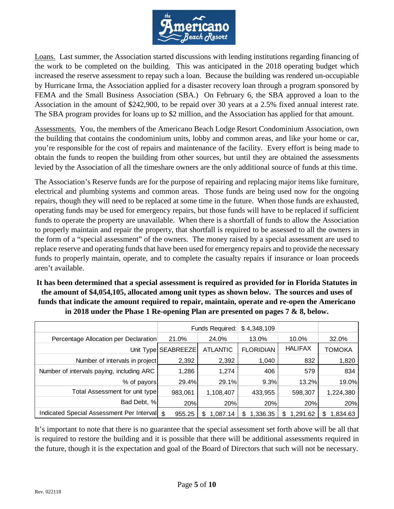

Loans. Last summer, the Association started discussions with lending institutions regarding financing of the work to be completed on the building. This was anticipated in the 2018 operating budget which increased the reserve assessment to repay such a loan. Because the building was rendered un-occupiable by Hurricane Irma, the Association applied for a disaster recovery loan through a program sponsored by FEMA and the Small Business Association (SBA.) On February 6, the SBA approved a loan to the Association in the amount of \$242,900, to be repaid over 30 years at a 2.5% fixed annual interest rate. The SBA program provides for loans up to \$2 million, and the Association has applied for that amount.

Assessments. You, the members of the Americano Beach Lodge Resort Condominium Association, own the building that contains the condominium units, lobby and common areas, and like your home or car, you're responsible for the cost of repairs and maintenance of the facility. Every effort is being made to obtain the funds to reopen the building from other sources, but until they are obtained the assessments levied by the Association of all the timeshare owners are the only additional source of funds at this time.

The Association's Reserve funds are for the purpose of repairing and replacing major items like furniture, electrical and plumbing systems and common areas. Those funds are being used now for the ongoing repairs, though they will need to be replaced at some time in the future. When those funds are exhausted, operating funds may be used for emergency repairs, but those funds will have to be replaced if sufficient funds to operate the property are unavailable. When there is a shortfall of funds to allow the Association to properly maintain and repair the property, that shortfall is required to be assessed to all the owners in the form of a "special assessment" of the owners. The money raised by a special assessment are used to replace reserve and operating funds that have been used for emergency repairs and to provide the necessary funds to properly maintain, operate, and to complete the casualty repairs if insurance or loan proceeds aren't available.

**It has been determined that a special assessment is required as provided for in Florida Statutes in the amount of \$4,054,105, allocated among unit types as shown below. The sources and uses of funds that indicate the amount required to repair, maintain, operate and re-open the Americano in 2018 under the Phase 1 Re-opening Plan are presented on pages 7 & 8, below.**

|                                               | Funds Required:     |                 | \$4,348,109      |                |               |
|-----------------------------------------------|---------------------|-----------------|------------------|----------------|---------------|
| Percentage Allocation per Declaration         | 21.0%               | 24.0%           | 13.0%            | 10.0%          | 32.0%         |
|                                               | Unit Type SEABREEZE | <b>ATLANTIC</b> | <b>FLORIDIAN</b> | <b>HALIFAX</b> | <b>TOMOKA</b> |
| Number of intervals in project                | 2,392               | 2,392           | 1,040            | 832            | 1,820         |
| Number of intervals paying, including ARC     | 1,286               | 1,274           | 406              | 579            | 834           |
| % of payors                                   | 29.4%               | 29.1%           | 9.3%             | 13.2%          | 19.0%         |
| Total Assessment for unit type                | 983,061             | 1,108,407       | 433,955          | 598,307        | 1,224,380     |
| Bad Debt, %                                   | 20%                 | 20%             | 20%              | 20%            | 20%           |
| Indicated Special Assessment Per Interval  \$ | 955.25              | 1.087.14<br>S.  | 1.336.35<br>S    | 1.291.62<br>S  | 1.834.63<br>S |

It's important to note that there is no guarantee that the special assessment set forth above will be all that is required to restore the building and it is possible that there will be additional assessments required in the future, though it is the expectation and goal of the Board of Directors that such will not be necessary.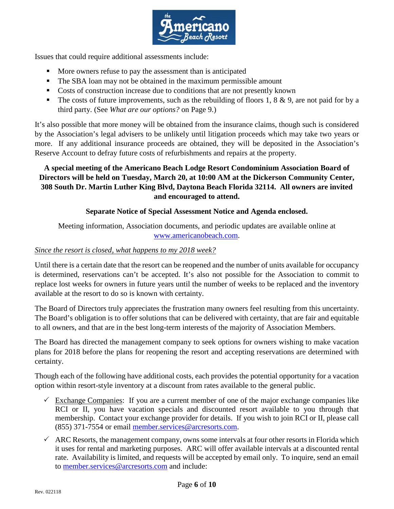

Issues that could require additional assessments include:

- More owners refuse to pay the assessment than is anticipated
- The SBA loan may not be obtained in the maximum permissible amount
- Costs of construction increase due to conditions that are not presently known
- The costs of future improvements, such as the rebuilding of floors 1, 8  $\&$  9, are not paid for by a third party. (See *What are our options?* on Page 9.)

It's also possible that more money will be obtained from the insurance claims, though such is considered by the Association's legal advisers to be unlikely until litigation proceeds which may take two years or more. If any additional insurance proceeds are obtained, they will be deposited in the Association's Reserve Account to defray future costs of refurbishments and repairs at the property.

# **A special meeting of the Americano Beach Lodge Resort Condominium Association Board of Directors will be held on Tuesday, March 20, at 10:00 AM at the Dickerson Community Center, 308 South Dr. Martin Luther King Blvd, Daytona Beach Florida 32114. All owners are invited and encouraged to attend.**

# **Separate Notice of Special Assessment Notice and Agenda enclosed.**

Meeting information, Association documents, and periodic updates are available online at [www.americanobeach.com.](http://www.americanobeach.com/)

## *Since the resort is closed, what happens to my 2018 week?*

Until there is a certain date that the resort can be reopened and the number of units available for occupancy is determined, reservations can't be accepted. It's also not possible for the Association to commit to replace lost weeks for owners in future years until the number of weeks to be replaced and the inventory available at the resort to do so is known with certainty.

The Board of Directors truly appreciates the frustration many owners feel resulting from this uncertainty. The Board's obligation is to offer solutions that can be delivered with certainty, that are fair and equitable to all owners, and that are in the best long-term interests of the majority of Association Members.

The Board has directed the management company to seek options for owners wishing to make vacation plans for 2018 before the plans for reopening the resort and accepting reservations are determined with certainty.

Though each of the following have additional costs, each provides the potential opportunity for a vacation option within resort-style inventory at a discount from rates available to the general public.

- $\checkmark$  Exchange Companies: If you are a current member of one of the major exchange companies like RCI or II, you have vacation specials and discounted resort available to you through that membership. Contact your exchange provider for details. If you wish to join RCI or II, please call (855) 371-7554 or email [member.services@arcresorts.com.](mailto:member.services@arcresorts.com)
- $\checkmark$  ARC Resorts, the management company, owns some intervals at four other resorts in Florida which it uses for rental and marketing purposes. ARC will offer available intervals at a discounted rental rate. Availability is limited, and requests will be accepted by email only. To inquire, send an email to [member.services@arcresorts.com](mailto:member.services@arcresorts.com) and include: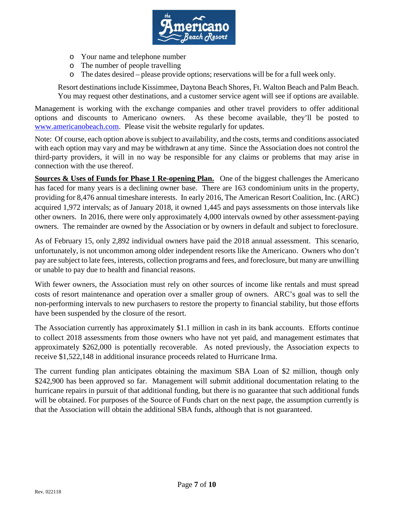

- o Your name and telephone number
- o The number of people travelling
- o The dates desired please provide options; reservations will be for a full week only.

Resort destinations include Kissimmee, Daytona Beach Shores, Ft. Walton Beach and Palm Beach. You may request other destinations, and a customer service agent will see if options are available.

Management is working with the exchange companies and other travel providers to offer additional options and discounts to Americano owners. As these become available, they'll be posted to [www.americanobeach.com.](http://www.americanobeach.com/) Please visit the website regularly for updates.

Note: Of course, each option above is subject to availability, and the costs, terms and conditions associated with each option may vary and may be withdrawn at any time. Since the Association does not control the third-party providers, it will in no way be responsible for any claims or problems that may arise in connection with the use thereof.

**Sources & Uses of Funds for Phase 1 Re-opening Plan.** One of the biggest challenges the Americano has faced for many years is a declining owner base. There are 163 condominium units in the property, providing for 8,476 annual timeshare interests. In early 2016, The American Resort Coalition, Inc. (ARC) acquired 1,972 intervals; as of January 2018, it owned 1,445 and pays assessments on those intervals like other owners. In 2016, there were only approximately 4,000 intervals owned by other assessment-paying owners. The remainder are owned by the Association or by owners in default and subject to foreclosure.

As of February 15, only 2,892 individual owners have paid the 2018 annual assessment. This scenario, unfortunately, is not uncommon among older independent resorts like the Americano. Owners who don't pay are subject to late fees, interests, collection programs and fees, and foreclosure, but many are unwilling or unable to pay due to health and financial reasons.

With fewer owners, the Association must rely on other sources of income like rentals and must spread costs of resort maintenance and operation over a smaller group of owners. ARC's goal was to sell the non-performing intervals to new purchasers to restore the property to financial stability, but those efforts have been suspended by the closure of the resort.

The Association currently has approximately \$1.1 million in cash in its bank accounts. Efforts continue to collect 2018 assessments from those owners who have not yet paid, and management estimates that approximately \$262,000 is potentially recoverable. As noted previously, the Association expects to receive \$1,522,148 in additional insurance proceeds related to Hurricane Irma.

The current funding plan anticipates obtaining the maximum SBA Loan of \$2 million, though only \$242,900 has been approved so far. Management will submit additional documentation relating to the hurricane repairs in pursuit of that additional funding, but there is no guarantee that such additional funds will be obtained. For purposes of the Source of Funds chart on the next page, the assumption currently is that the Association will obtain the additional SBA funds, although that is not guaranteed.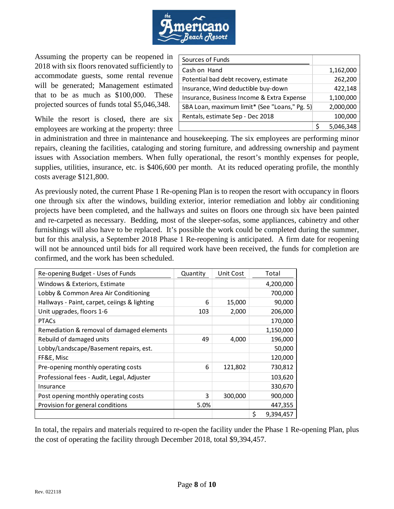

Assuming the property can be reopened in 2018 with six floors renovated sufficiently to accommodate guests, some rental revenue will be generated; Management estimated that to be as much as \$100,000. These projected sources of funds total \$5,046,348.

While the resort is closed, there are six employees are working at the property: three

| Sources of Funds                              |  |           |
|-----------------------------------------------|--|-----------|
| Cash on Hand                                  |  | 1,162,000 |
| Potential bad debt recovery, estimate         |  | 262,200   |
| Insurance, Wind deductible buy-down           |  | 422,148   |
| Insurance, Business Income & Extra Expense    |  | 1,100,000 |
| SBA Loan, maximum limit* (See "Loans," Pg. 5) |  | 2,000,000 |
| Rentals, estimate Sep - Dec 2018              |  | 100,000   |
|                                               |  | 5,046,348 |

in administration and three in maintenance and housekeeping. The six employees are performing minor repairs, cleaning the facilities, cataloging and storing furniture, and addressing ownership and payment issues with Association members. When fully operational, the resort's monthly expenses for people, supplies, utilities, insurance, etc. is \$406,600 per month. At its reduced operating profile, the monthly costs average \$121,800.

As previously noted, the current Phase 1 Re-opening Plan is to reopen the resort with occupancy in floors one through six after the windows, building exterior, interior remediation and lobby air conditioning projects have been completed, and the hallways and suites on floors one through six have been painted and re-carpeted as necessary. Bedding, most of the sleeper-sofas, some appliances, cabinetry and other furnishings will also have to be replaced. It's possible the work could be completed during the summer, but for this analysis, a September 2018 Phase 1 Re-reopening is anticipated. A firm date for reopening will not be announced until bids for all required work have been received, the funds for completion are confirmed, and the work has been scheduled.

| Re-opening Budget - Uses of Funds            | Quantity | Unit Cost | Total           |
|----------------------------------------------|----------|-----------|-----------------|
| Windows & Exteriors, Estimate                |          |           | 4,200,000       |
| Lobby & Common Area Air Conditioning         |          |           | 700,000         |
| Hallways - Paint, carpet, ceiings & lighting | 6        | 15,000    | 90,000          |
| Unit upgrades, floors 1-6                    | 103      | 2,000     | 206,000         |
| <b>PTACs</b>                                 |          |           | 170,000         |
| Remediation & removal of damaged elements    |          |           | 1,150,000       |
| Rebuild of damaged units                     | 49       | 4,000     | 196,000         |
| Lobby/Landscape/Basement repairs, est.       |          |           | 50,000          |
| FF&E, Misc                                   |          |           | 120,000         |
| Pre-opening monthly operating costs          | 6        | 121,802   | 730,812         |
| Professional fees - Audit, Legal, Adjuster   |          |           | 103,620         |
| Insurance                                    |          |           | 330,670         |
| Post opening monthly operating costs         | 3        | 300,000   | 900,000         |
| Provision for general conditions             | 5.0%     |           | 447,355         |
|                                              |          |           | \$<br>9,394,457 |

In total, the repairs and materials required to re-open the facility under the Phase 1 Re-opening Plan, plus the cost of operating the facility through December 2018, total \$9,394,457.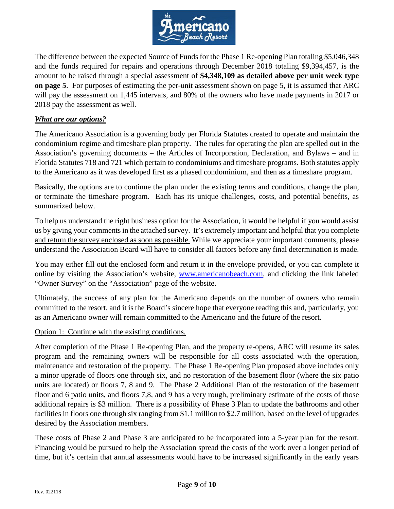

The difference between the expected Source of Funds for the Phase 1 Re-opening Plan totaling \$5,046,348 and the funds required for repairs and operations through December 2018 totaling \$9,394,457, is the amount to be raised through a special assessment of **\$4,348,109 as detailed above per unit week type on page 5**. For purposes of estimating the per-unit assessment shown on page 5, it is assumed that ARC will pay the assessment on 1,445 intervals, and 80% of the owners who have made payments in 2017 or 2018 pay the assessment as well.

## *What are our options?*

The Americano Association is a governing body per Florida Statutes created to operate and maintain the condominium regime and timeshare plan property. The rules for operating the plan are spelled out in the Association's governing documents – the Articles of Incorporation, Declaration, and Bylaws – and in Florida Statutes 718 and 721 which pertain to condominiums and timeshare programs. Both statutes apply to the Americano as it was developed first as a phased condominium, and then as a timeshare program.

Basically, the options are to continue the plan under the existing terms and conditions, change the plan, or terminate the timeshare program. Each has its unique challenges, costs, and potential benefits, as summarized below.

To help us understand the right business option for the Association, it would be helpful if you would assist us by giving your comments in the attached survey. It's extremely important and helpful that you complete and return the survey enclosed as soon as possible. While we appreciate your important comments, please understand the Association Board will have to consider all factors before any final determination is made.

You may either fill out the enclosed form and return it in the envelope provided, or you can complete it online by visiting the Association's website, [www.americanobeach.com,](http://www.americanobeach.com/) and clicking the link labeled "Owner Survey" on the "Association" page of the website.

Ultimately, the success of any plan for the Americano depends on the number of owners who remain committed to the resort, and it is the Board's sincere hope that everyone reading this and, particularly, you as an Americano owner will remain committed to the Americano and the future of the resort.

### Option 1: Continue with the existing conditions.

After completion of the Phase 1 Re-opening Plan, and the property re-opens, ARC will resume its sales program and the remaining owners will be responsible for all costs associated with the operation, maintenance and restoration of the property. The Phase 1 Re-opening Plan proposed above includes only a minor upgrade of floors one through six, and no restoration of the basement floor (where the six patio units are located) or floors 7, 8 and 9. The Phase 2 Additional Plan of the restoration of the basement floor and 6 patio units, and floors 7,8, and 9 has a very rough, preliminary estimate of the costs of those additional repairs is \$3 million. There is a possibility of Phase 3 Plan to update the bathrooms and other facilities in floors one through six ranging from \$1.1 million to \$2.7 million, based on the level of upgrades desired by the Association members.

These costs of Phase 2 and Phase 3 are anticipated to be incorporated into a 5-year plan for the resort. Financing would be pursued to help the Association spread the costs of the work over a longer period of time, but it's certain that annual assessments would have to be increased significantly in the early years